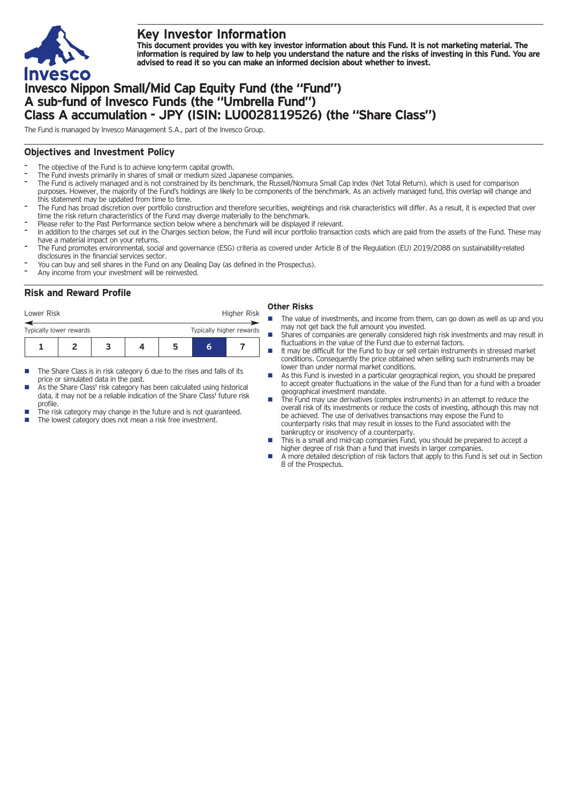

## **Key Investor Information**

This document provides you with key investor information about this Fund. It is not marketing material. The information is required by law to help you understand the nature and the risks of investing in this Fund. You are **advised to read it so you can make an informed decision about whether to invest.**

# **Invesco Nippon Small/Mid Cap Equity Fund (the "Fund") A sub-fund of Invesco Funds (the "Umbrella Fund") Class A accumulation - JPY (ISIN: LU0028119526) (the "Share Class")**

The Fund is managed by Invesco Management S.A., part of the Invesco Group.

## **Objectives and Investment Policy**

- The objective of the Fund is to achieve long-term capital growth.
- The Fund invests primarily in shares of small or medium sized Japanese companies.
- The Fund is actively managed and is not constrained by its benchmark, the Russell/Nomura Small Cap Index (Net Total Return), which is used for comparison purposes. However, the majority of the Fund's holdings are likely to be components of the benchmark. As an actively managed fund, this overlap will change and this statement may be updated from time to time.
- The Fund has broad discretion over portfolio construction and therefore securities, weightings and risk characteristics will differ. As a result, it is expected that over time the risk return characteristics of the Fund may diverge materially to the benchmark.
- Please refer to the Past Performance section below where a benchmark will be displayed if relevant.
- In addition to the charges set out in the Charges section below, the Fund will incur portfolio transaction costs which are paid from the assets of the Fund. These may have a material impact on your returns.
- The Fund promotes environmental, social and governance (ESG) criteria as covered under Article 8 of the Regulation (EU) 2019/2088 on sustainability-related disclosures in the financial services sector.
- You can buy and sell shares in the Fund on any Dealing Day (as defined in the Prospectus).
- Any income from your investment will be reinvested.

## **Risk and Reward Profile**

| <b>Other Risks</b> |  |
|--------------------|--|
|--------------------|--|

- **1234567** Lower Risk **Higher Risk 6** Typically lower rewards Typically higher rewards
- The Share Class is in risk category 6 due to the rises and falls of its price or simulated data in the past.
- As the Share Class' risk category has been calculated using historical data, it may not be a reliable indication of the Share Class' future risk profile.
- The risk category may change in the future and is not guaranteed. The lowest category does not mean a risk free investment.

- The value of investments, and income from them, can go down as well as up and you may not get back the full amount you invested.
	- Shares of companies are generally considered high risk investments and may result in fluctuations in the value of the Fund due to external factors.
	- It may be difficult for the Fund to buy or sell certain instruments in stressed market conditions. Consequently the price obtained when selling such instruments may be lower than under normal market conditions.
- As this Fund is invested in a particular geographical region, you should be prepared to accept greater fluctuations in the value of the Fund than for a fund with a broader geographical investment mandate.
- The Fund may use derivatives (complex instruments) in an attempt to reduce the overall risk of its investments or reduce the costs of investing, although this may not be achieved. The use of derivatives transactions may expose the Fund to counterparty risks that may result in losses to the Fund associated with the bankruptcy or insolvency of a counterparty.
- This is a small and mid-cap companies Fund, you should be prepared to accept a higher degree of risk than a fund that invests in larger companies.
- n A more detailed description of risk factors that apply to this Fund is set out in Section 8 of the Prospectus.